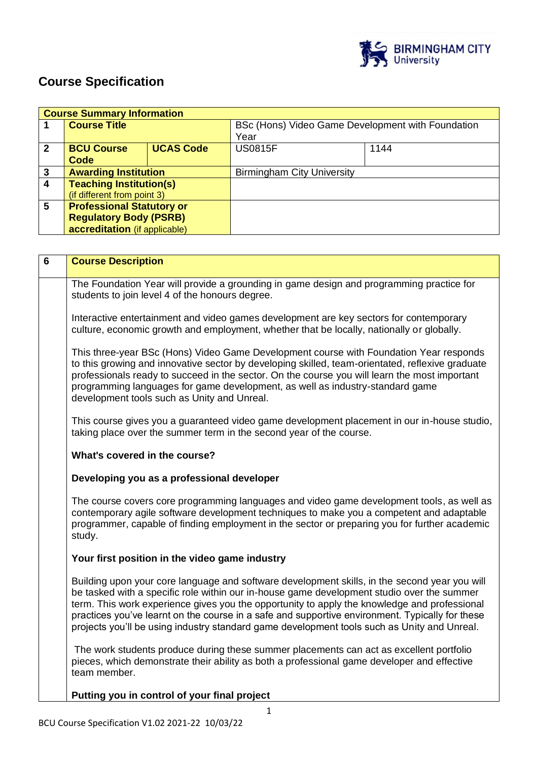

# **Course Specification**

|              | <b>Course Summary Information</b> |                  |                                                   |      |  |
|--------------|-----------------------------------|------------------|---------------------------------------------------|------|--|
|              | <b>Course Title</b>               |                  | BSc (Hons) Video Game Development with Foundation |      |  |
|              |                                   |                  | Year                                              |      |  |
| $\mathbf{2}$ | <b>BCU Course</b>                 | <b>UCAS Code</b> | <b>US0815F</b>                                    | 1144 |  |
|              | Code                              |                  |                                                   |      |  |
| 3            | <b>Awarding Institution</b>       |                  | <b>Birmingham City University</b>                 |      |  |
| 4            | <b>Teaching Institution(s)</b>    |                  |                                                   |      |  |
|              | (if different from point 3)       |                  |                                                   |      |  |
| 5            | <b>Professional Statutory or</b>  |                  |                                                   |      |  |
|              | <b>Regulatory Body (PSRB)</b>     |                  |                                                   |      |  |
|              | accreditation (if applicable)     |                  |                                                   |      |  |

| 6 | <b>Course Description</b>                                                                                                                                                                                                                                                                                                                                                                                                                                                                     |  |  |  |
|---|-----------------------------------------------------------------------------------------------------------------------------------------------------------------------------------------------------------------------------------------------------------------------------------------------------------------------------------------------------------------------------------------------------------------------------------------------------------------------------------------------|--|--|--|
|   | The Foundation Year will provide a grounding in game design and programming practice for<br>students to join level 4 of the honours degree.                                                                                                                                                                                                                                                                                                                                                   |  |  |  |
|   | Interactive entertainment and video games development are key sectors for contemporary<br>culture, economic growth and employment, whether that be locally, nationally or globally.                                                                                                                                                                                                                                                                                                           |  |  |  |
|   | This three-year BSc (Hons) Video Game Development course with Foundation Year responds<br>to this growing and innovative sector by developing skilled, team-orientated, reflexive graduate<br>professionals ready to succeed in the sector. On the course you will learn the most important<br>programming languages for game development, as well as industry-standard game<br>development tools such as Unity and Unreal.                                                                   |  |  |  |
|   | This course gives you a guaranteed video game development placement in our in-house studio,<br>taking place over the summer term in the second year of the course.                                                                                                                                                                                                                                                                                                                            |  |  |  |
|   | What's covered in the course?                                                                                                                                                                                                                                                                                                                                                                                                                                                                 |  |  |  |
|   | Developing you as a professional developer                                                                                                                                                                                                                                                                                                                                                                                                                                                    |  |  |  |
|   | The course covers core programming languages and video game development tools, as well as<br>contemporary agile software development techniques to make you a competent and adaptable<br>programmer, capable of finding employment in the sector or preparing you for further academic<br>study.                                                                                                                                                                                              |  |  |  |
|   | Your first position in the video game industry                                                                                                                                                                                                                                                                                                                                                                                                                                                |  |  |  |
|   | Building upon your core language and software development skills, in the second year you will<br>be tasked with a specific role within our in-house game development studio over the summer<br>term. This work experience gives you the opportunity to apply the knowledge and professional<br>practices you've learnt on the course in a safe and supportive environment. Typically for these<br>projects you'll be using industry standard game development tools such as Unity and Unreal. |  |  |  |
|   | The work students produce during these summer placements can act as excellent portfolio<br>pieces, which demonstrate their ability as both a professional game developer and effective<br>team member.                                                                                                                                                                                                                                                                                        |  |  |  |
|   | Putting you in control of your final project                                                                                                                                                                                                                                                                                                                                                                                                                                                  |  |  |  |

BCU Course Specification V1.02 2021-22 10/03/22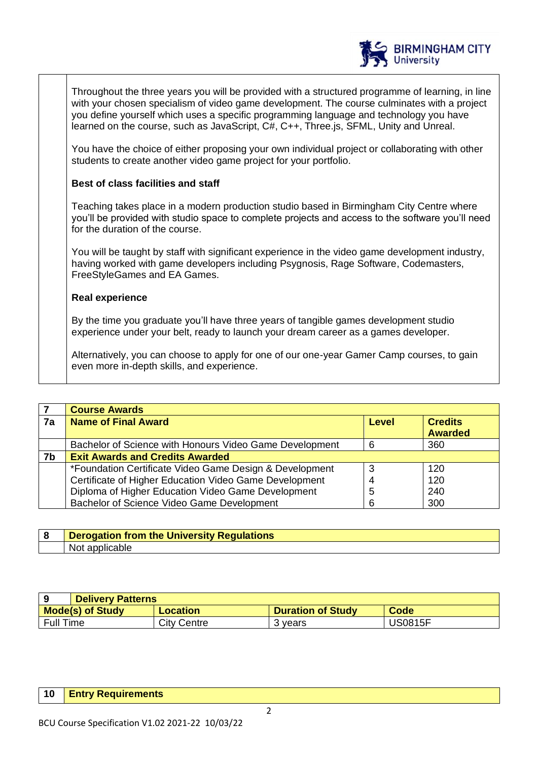

Throughout the three years you will be provided with a structured programme of learning, in line with your chosen specialism of video game development. The course culminates with a project you define yourself which uses a specific programming language and technology you have learned on the course, such as JavaScript, C#, C++, Three.js, SFML, Unity and Unreal.

You have the choice of either proposing your own individual project or collaborating with other students to create another video game project for your portfolio.

# **Best of class facilities and staff**

Teaching takes place in a modern production studio based in Birmingham City Centre where you'll be provided with studio space to complete projects and access to the software you'll need for the duration of the course.

You will be taught by staff with significant experience in the video game development industry, having worked with game developers including Psygnosis, Rage Software, Codemasters, FreeStyleGames and EA Games.

## **Real experience**

By the time you graduate you'll have three years of tangible games development studio experience under your belt, ready to launch your dream career as a games developer.

Alternatively, you can choose to apply for one of our one-year Gamer Camp courses, to gain even more in-depth skills, and experience.

|    | <b>Course Awards</b>                                    |              |                                  |
|----|---------------------------------------------------------|--------------|----------------------------------|
| 7a | <b>Name of Final Award</b>                              | <b>Level</b> | <b>Credits</b><br><b>Awarded</b> |
|    |                                                         |              |                                  |
|    | Bachelor of Science with Honours Video Game Development | 6            | 360                              |
| 7b | <b>Exit Awards and Credits Awarded</b>                  |              |                                  |
|    | *Foundation Certificate Video Game Design & Development | 3            | 120                              |
|    | Certificate of Higher Education Video Game Development  |              | 120                              |
|    | Diploma of Higher Education Video Game Development      | 5            | 240                              |
|    | Bachelor of Science Video Game Development              | 6            | 300                              |

| <b>Derogation from the University Regulations</b> |
|---------------------------------------------------|
| applicable<br>Not.                                |

|                         | <b>Delivery Patterns</b> |                          |                |  |
|-------------------------|--------------------------|--------------------------|----------------|--|
| <b>Mode(s) of Study</b> | Location                 | <b>Duration of Study</b> | <b>Code</b>    |  |
| <b>Full Time</b>        | City Centre              | 3 years                  | <b>US0815F</b> |  |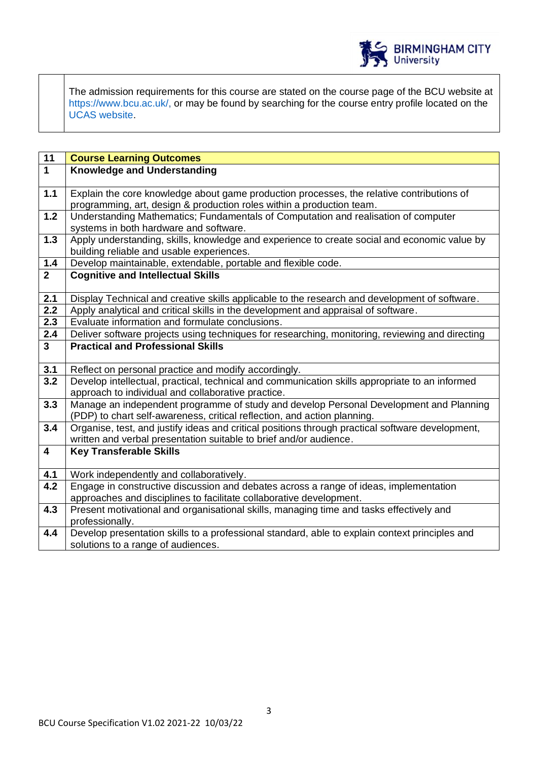

The admission requirements for this course are stated on the course page of the BCU website at https://www.bcu.ac.uk/, or may be found by searching for the course entry profile located on the UCAS website.

| 11                      | <b>Course Learning Outcomes</b>                                                                                                                      |
|-------------------------|------------------------------------------------------------------------------------------------------------------------------------------------------|
| $\overline{1}$          | <b>Knowledge and Understanding</b>                                                                                                                   |
|                         |                                                                                                                                                      |
| $1.1$                   | Explain the core knowledge about game production processes, the relative contributions of                                                            |
| $1.2$                   | programming, art, design & production roles within a production team.                                                                                |
|                         | Understanding Mathematics; Fundamentals of Computation and realisation of computer<br>systems in both hardware and software.                         |
| 1.3                     | Apply understanding, skills, knowledge and experience to create social and economic value by                                                         |
|                         | building reliable and usable experiences.                                                                                                            |
| $1.4$                   | Develop maintainable, extendable, portable and flexible code.                                                                                        |
| 2 <sup>1</sup>          | <b>Cognitive and Intellectual Skills</b>                                                                                                             |
|                         |                                                                                                                                                      |
| 2.1                     | Display Technical and creative skills applicable to the research and development of software.                                                        |
| $\overline{2.2}$        | Apply analytical and critical skills in the development and appraisal of software.                                                                   |
| 2.3                     | Evaluate information and formulate conclusions.                                                                                                      |
| 2.4                     | Deliver software projects using techniques for researching, monitoring, reviewing and directing                                                      |
| 3 <sup>1</sup>          | <b>Practical and Professional Skills</b>                                                                                                             |
|                         |                                                                                                                                                      |
| 3.1<br>$\overline{3.2}$ | Reflect on personal practice and modify accordingly.                                                                                                 |
|                         | Develop intellectual, practical, technical and communication skills appropriate to an informed<br>approach to individual and collaborative practice. |
| 3.3                     | Manage an independent programme of study and develop Personal Development and Planning                                                               |
|                         | (PDP) to chart self-awareness, critical reflection, and action planning.                                                                             |
| 3.4                     | Organise, test, and justify ideas and critical positions through practical software development,                                                     |
|                         | written and verbal presentation suitable to brief and/or audience.                                                                                   |
| $\overline{\mathbf{4}}$ | <b>Key Transferable Skills</b>                                                                                                                       |
|                         |                                                                                                                                                      |
| 4.1                     | Work independently and collaboratively.                                                                                                              |
| 4.2                     | Engage in constructive discussion and debates across a range of ideas, implementation                                                                |
|                         | approaches and disciplines to facilitate collaborative development.                                                                                  |
| 4.3                     | Present motivational and organisational skills, managing time and tasks effectively and                                                              |
|                         | professionally.                                                                                                                                      |
| 4.4                     | Develop presentation skills to a professional standard, able to explain context principles and                                                       |
|                         | solutions to a range of audiences.                                                                                                                   |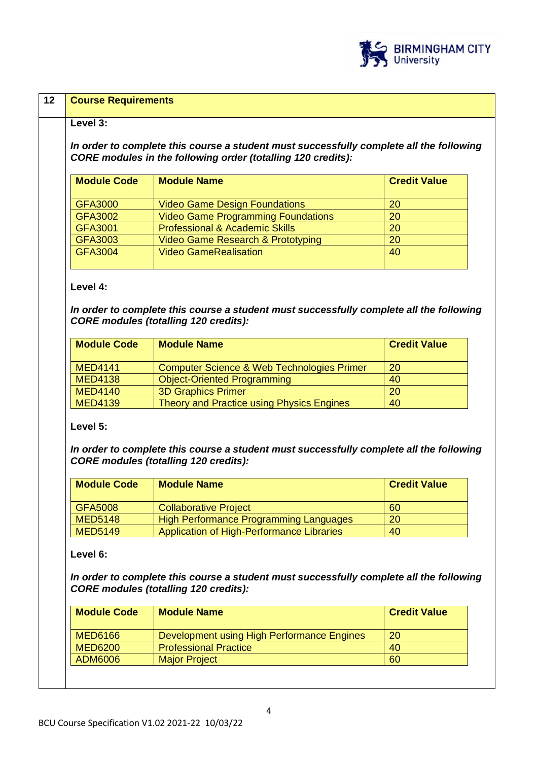

| Level 3:                         |                                                                                                                                                                |                     |
|----------------------------------|----------------------------------------------------------------------------------------------------------------------------------------------------------------|---------------------|
|                                  |                                                                                                                                                                |                     |
|                                  | In order to complete this course a student must successfully complete all the following<br><b>CORE modules in the following order (totalling 120 credits):</b> |                     |
|                                  |                                                                                                                                                                |                     |
| <b>Module Code</b>               | <b>Module Name</b>                                                                                                                                             | <b>Credit Value</b> |
| <b>GFA3000</b>                   | <b>Video Game Design Foundations</b>                                                                                                                           | 20                  |
| <b>GFA3002</b>                   | <b>Video Game Programming Foundations</b>                                                                                                                      | 20                  |
| <b>GFA3001</b>                   | <b>Professional &amp; Academic Skills</b>                                                                                                                      | 20                  |
| <b>GFA3003</b>                   | <b>Video Game Research &amp; Prototyping</b>                                                                                                                   | 20                  |
| <b>GFA3004</b>                   | <b>Video GameRealisation</b>                                                                                                                                   | 40                  |
|                                  |                                                                                                                                                                |                     |
| <b>Module Code</b>               | <b>CORE modules (totalling 120 credits):</b><br><b>Module Name</b>                                                                                             | <b>Credit Value</b> |
|                                  |                                                                                                                                                                |                     |
| <b>MED4141</b>                   | Computer Science & Web Technologies Primer                                                                                                                     | 20                  |
| <b>MED4138</b>                   | <b>Object-Oriented Programming</b>                                                                                                                             | 40                  |
|                                  |                                                                                                                                                                |                     |
| <b>MED4140</b>                   | <b>3D Graphics Primer</b>                                                                                                                                      | 20                  |
| <b>MED4139</b>                   | Theory and Practice using Physics Engines                                                                                                                      | 40                  |
| <b>Module Code</b>               | In order to complete this course a student must successfully complete all the following<br><b>CORE modules (totalling 120 credits):</b><br><b>Module Name</b>  | <b>Credit Value</b> |
|                                  |                                                                                                                                                                |                     |
| <b>GFA5008</b>                   | <b>Collaborative Project</b>                                                                                                                                   | 60                  |
| <b>MED5148</b>                   | <b>High Performance Programming Languages</b>                                                                                                                  | 20                  |
| Level 5:<br><b>MED5149</b>       | Application of High-Performance Libraries                                                                                                                      | 40                  |
| Level 6:                         | In order to complete this course a student must successfully complete all the following<br><b>CORE modules (totalling 120 credits):</b>                        |                     |
| <b>Module Code</b>               | <b>Module Name</b>                                                                                                                                             | <b>Credit Value</b> |
|                                  |                                                                                                                                                                |                     |
| <b>MED6166</b><br><b>MED6200</b> | Development using High Performance Engines<br><b>Professional Practice</b>                                                                                     | 20<br>40            |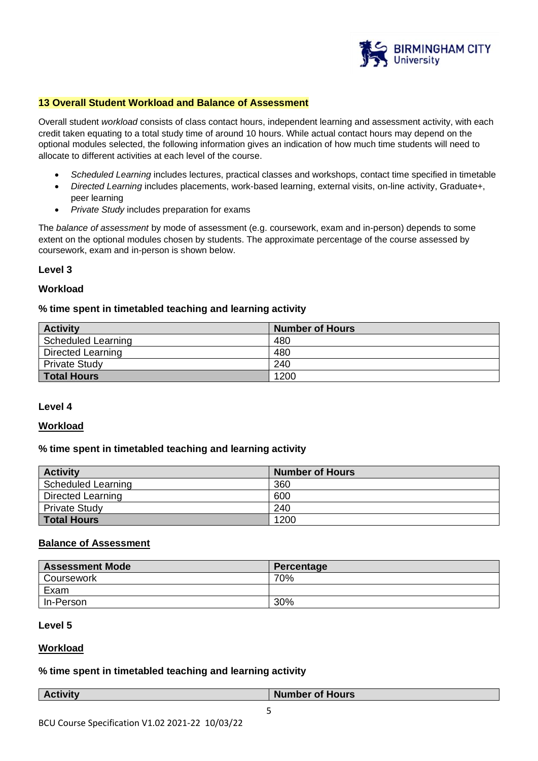

#### **13 Overall Student Workload and Balance of Assessment**

Overall student *workload* consists of class contact hours, independent learning and assessment activity, with each credit taken equating to a total study time of around 10 hours. While actual contact hours may depend on the optional modules selected, the following information gives an indication of how much time students will need to allocate to different activities at each level of the course.

- *Scheduled Learning* includes lectures, practical classes and workshops, contact time specified in timetable
- *Directed Learning* includes placements, work-based learning, external visits, on-line activity, Graduate+, peer learning
- *Private Study* includes preparation for exams

The *balance of assessment* by mode of assessment (e.g. coursework, exam and in-person) depends to some extent on the optional modules chosen by students. The approximate percentage of the course assessed by coursework, exam and in-person is shown below.

#### **Level 3**

#### **Workload**

#### **% time spent in timetabled teaching and learning activity**

| <b>Activity</b>           | <b>Number of Hours</b> |
|---------------------------|------------------------|
| <b>Scheduled Learning</b> | 480                    |
| Directed Learning         | 480                    |
| <b>Private Study</b>      | 240                    |
| <b>Total Hours</b>        | 1200                   |

#### **Level 4**

#### **Workload**

#### **% time spent in timetabled teaching and learning activity**

| <b>Activity</b>           | <b>Number of Hours</b> |
|---------------------------|------------------------|
| <b>Scheduled Learning</b> | 360                    |
| Directed Learning         | 600                    |
| <b>Private Study</b>      | 240                    |
| Total Hours               | 1200                   |

#### **Balance of Assessment**

| <b>Assessment Mode</b> | Percentage |
|------------------------|------------|
| Coursework             | 70%        |
| Exam                   |            |
| In-Person              | 30%        |

#### **Level 5**

## **Workload**

#### **% time spent in timetabled teaching and learning activity**